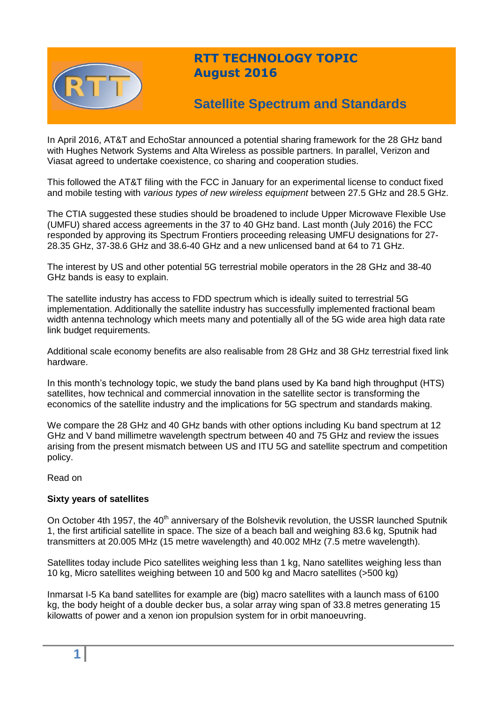

## **RTT TECHNOLOGY TOPIC August 2016**

# **Satellite Spectrum and Standards**

In April 2016, AT&T and EchoStar announced a potential sharing framework for the 28 GHz band with Hughes Network Systems and Alta Wireless as possible partners. In parallel, Verizon and Viasat agreed to undertake coexistence, co sharing and cooperation studies.

This followed the AT&T filing with the FCC in January for an experimental license to conduct fixed and mobile testing with *various types of new wireless equipment* between 27.5 GHz and 28.5 GHz.

The CTIA suggested these studies should be broadened to include Upper Microwave Flexible Use (UMFU) shared access agreements in the 37 to 40 GHz band. Last month (July 2016) the FCC responded by approving its Spectrum Frontiers proceeding releasing UMFU designations for 27- 28.35 GHz, 37-38.6 GHz and 38.6-40 GHz and a new unlicensed band at 64 to 71 GHz.

The interest by US and other potential 5G terrestrial mobile operators in the 28 GHz and 38-40 GHz bands is easy to explain.

The satellite industry has access to FDD spectrum which is ideally suited to terrestrial 5G implementation. Additionally the satellite industry has successfully implemented fractional beam width antenna technology which meets many and potentially all of the 5G wide area high data rate link budget requirements.

Additional scale economy benefits are also realisable from 28 GHz and 38 GHz terrestrial fixed link hardware.

In this month's technology topic, we study the band plans used by Ka band high throughput (HTS) satellites, how technical and commercial innovation in the satellite sector is transforming the economics of the satellite industry and the implications for 5G spectrum and standards making.

We compare the 28 GHz and 40 GHz bands with other options including Ku band spectrum at 12 GHz and V band millimetre wavelength spectrum between 40 and 75 GHz and review the issues arising from the present mismatch between US and ITU 5G and satellite spectrum and competition policy.

Read on

#### **Sixty years of satellites**

On October 4th 1957, the 40<sup>th</sup> anniversary of the Bolshevik revolution, the USSR launched Sputnik 1, the first artificial satellite in space. The size of a beach ball and weighing 83.6 kg, Sputnik had transmitters at 20.005 MHz (15 metre wavelength) and 40.002 MHz (7.5 metre wavelength).

Satellites today include Pico satellites weighing less than 1 kg, Nano satellites weighing less than 10 kg, Micro satellites weighing between 10 and 500 kg and Macro satellites (>500 kg)

Inmarsat I-5 Ka band satellites for example are (big) macro satellites with a launch mass of 6100 kg, the body height of a double decker bus, a solar array wing span of 33.8 metres generating 15 kilowatts of power and a xenon ion propulsion system for in orbit manoeuvring.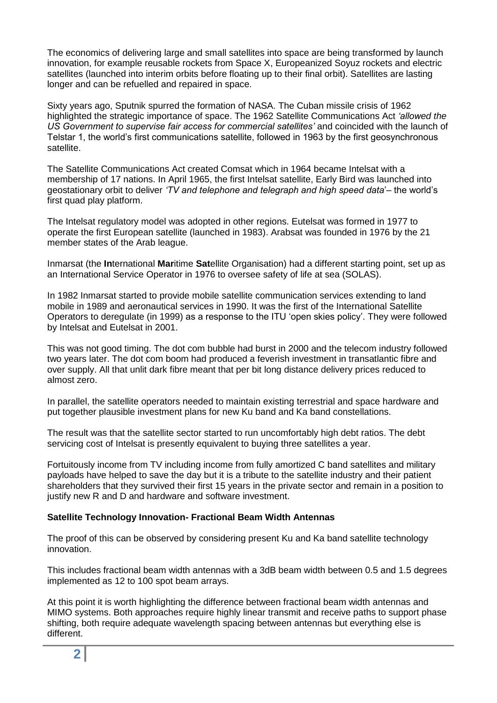The economics of delivering large and small satellites into space are being transformed by launch innovation, for example reusable rockets from Space X, Europeanized Soyuz rockets and electric satellites (launched into interim orbits before floating up to their final orbit). Satellites are lasting longer and can be refuelled and repaired in space.

Sixty years ago, Sputnik spurred the formation of NASA. The Cuban missile crisis of 1962 highlighted the strategic importance of space. The 1962 Satellite Communications Act *'allowed the US Government to supervise fair access for commercial satellites'* and coincided with the launch of Telstar 1, the world's first communications satellite, followed in 1963 by the first geosynchronous satellite.

The Satellite Communications Act created Comsat which in 1964 became Intelsat with a membership of 17 nations. In April 1965, the first Intelsat satellite, Early Bird was launched into geostationary orbit to deliver *'TV and telephone and telegraph and high speed data*'– the world's first quad play platform.

The Intelsat regulatory model was adopted in other regions. Eutelsat was formed in 1977 to operate the first European satellite (launched in 1983). Arabsat was founded in 1976 by the 21 member states of the Arab league.

Inmarsat (the **In**ternational **Mar**itime **Sat**ellite Organisation) had a different starting point, set up as an International Service Operator in 1976 to oversee safety of life at sea (SOLAS).

In 1982 Inmarsat started to provide mobile satellite communication services extending to land mobile in 1989 and aeronautical services in 1990. It was the first of the International Satellite Operators to deregulate (in 1999) as a response to the ITU 'open skies policy'. They were followed by Intelsat and Eutelsat in 2001.

This was not good timing. The dot com bubble had burst in 2000 and the telecom industry followed two years later. The dot com boom had produced a feverish investment in transatlantic fibre and over supply. All that unlit dark fibre meant that per bit long distance delivery prices reduced to almost zero.

In parallel, the satellite operators needed to maintain existing terrestrial and space hardware and put together plausible investment plans for new Ku band and Ka band constellations.

The result was that the satellite sector started to run uncomfortably high debt ratios. The debt servicing cost of Intelsat is presently equivalent to buying three satellites a year.

Fortuitously income from TV including income from fully amortized C band satellites and military payloads have helped to save the day but it is a tribute to the satellite industry and their patient shareholders that they survived their first 15 years in the private sector and remain in a position to justify new R and D and hardware and software investment.

#### **Satellite Technology Innovation- Fractional Beam Width Antennas**

The proof of this can be observed by considering present Ku and Ka band satellite technology innovation.

This includes fractional beam width antennas with a 3dB beam width between 0.5 and 1.5 degrees implemented as 12 to 100 spot beam arrays.

At this point it is worth highlighting the difference between fractional beam width antennas and MIMO systems. Both approaches require highly linear transmit and receive paths to support phase shifting, both require adequate wavelength spacing between antennas but everything else is different.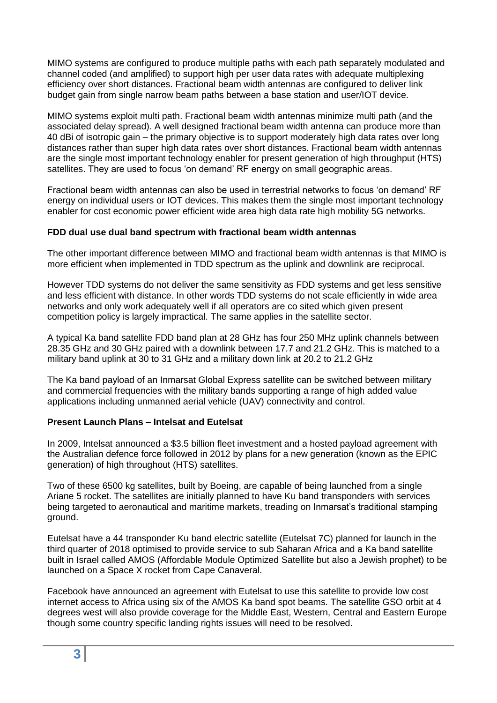MIMO systems are configured to produce multiple paths with each path separately modulated and channel coded (and amplified) to support high per user data rates with adequate multiplexing efficiency over short distances. Fractional beam width antennas are configured to deliver link budget gain from single narrow beam paths between a base station and user/IOT device.

MIMO systems exploit multi path. Fractional beam width antennas minimize multi path (and the associated delay spread). A well designed fractional beam width antenna can produce more than 40 dBi of isotropic gain – the primary objective is to support moderately high data rates over long distances rather than super high data rates over short distances. Fractional beam width antennas are the single most important technology enabler for present generation of high throughput (HTS) satellites. They are used to focus 'on demand' RF energy on small geographic areas.

Fractional beam width antennas can also be used in terrestrial networks to focus 'on demand' RF energy on individual users or IOT devices. This makes them the single most important technology enabler for cost economic power efficient wide area high data rate high mobility 5G networks.

### **FDD dual use dual band spectrum with fractional beam width antennas**

The other important difference between MIMO and fractional beam width antennas is that MIMO is more efficient when implemented in TDD spectrum as the uplink and downlink are reciprocal.

However TDD systems do not deliver the same sensitivity as FDD systems and get less sensitive and less efficient with distance. In other words TDD systems do not scale efficiently in wide area networks and only work adequately well if all operators are co sited which given present competition policy is largely impractical. The same applies in the satellite sector.

A typical Ka band satellite FDD band plan at 28 GHz has four 250 MHz uplink channels between 28.35 GHz and 30 GHz paired with a downlink between 17.7 and 21.2 GHz. This is matched to a military band uplink at 30 to 31 GHz and a military down link at 20.2 to 21.2 GHz

The Ka band payload of an Inmarsat Global Express satellite can be switched between military and commercial frequencies with the military bands supporting a range of high added value applications including unmanned aerial vehicle (UAV) connectivity and control.

#### **Present Launch Plans – Intelsat and Eutelsat**

In 2009, Intelsat announced a \$3.5 billion fleet investment and a hosted payload agreement with the Australian defence force followed in 2012 by plans for a new generation (known as the EPIC generation) of high throughout (HTS) satellites.

Two of these 6500 kg satellites, built by Boeing, are capable of being launched from a single Ariane 5 rocket. The satellites are initially planned to have Ku band transponders with services being targeted to aeronautical and maritime markets, treading on Inmarsat's traditional stamping ground.

Eutelsat have a 44 transponder Ku band electric satellite (Eutelsat 7C) planned for launch in the third quarter of 2018 optimised to provide service to sub Saharan Africa and a Ka band satellite built in Israel called AMOS (Affordable Module Optimized Satellite but also a Jewish prophet) to be launched on a Space X rocket from Cape Canaveral.

Facebook have announced an agreement with Eutelsat to use this satellite to provide low cost internet access to Africa using six of the AMOS Ka band spot beams. The satellite GSO orbit at 4 degrees west will also provide coverage for the Middle East, Western, Central and Eastern Europe though some country specific landing rights issues will need to be resolved.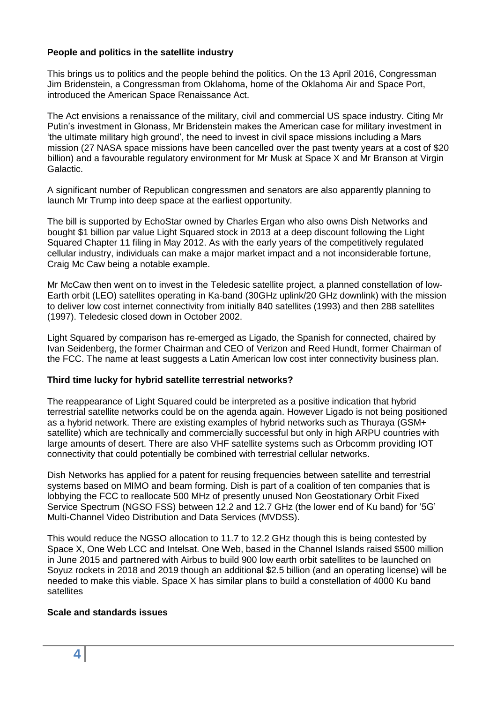#### **People and politics in the satellite industry**

This brings us to politics and the people behind the politics. On the 13 April 2016, Congressman Jim Bridenstein, a Congressman from Oklahoma, home of the Oklahoma Air and Space Port, introduced the American Space Renaissance Act.

The Act envisions a renaissance of the military, civil and commercial US space industry. Citing Mr Putin's investment in Glonass, Mr Bridenstein makes the American case for military investment in 'the ultimate military high ground', the need to invest in civil space missions including a Mars mission (27 NASA space missions have been cancelled over the past twenty years at a cost of \$20 billion) and a favourable regulatory environment for Mr Musk at Space X and Mr Branson at Virgin Galactic.

A significant number of Republican congressmen and senators are also apparently planning to launch Mr Trump into deep space at the earliest opportunity.

The bill is supported by EchoStar owned by Charles Ergan who also owns Dish Networks and bought \$1 billion par value Light Squared stock in 2013 at a deep discount following the Light Squared Chapter 11 filing in May 2012. As with the early years of the competitively regulated cellular industry, individuals can make a major market impact and a not inconsiderable fortune, Craig Mc Caw being a notable example.

Mr McCaw then went on to invest in the Teledesic satellite project, a planned constellation of low-Earth orbit (LEO) satellites operating in Ka-band (30GHz uplink/20 GHz downlink) with the mission to deliver low cost internet connectivity from initially 840 satellites (1993) and then 288 satellites (1997). Teledesic closed down in October 2002.

Light Squared by comparison has re-emerged as Ligado, the Spanish for connected, chaired by Ivan Seidenberg, the former Chairman and CEO of Verizon and Reed Hundt, former Chairman of the FCC. The name at least suggests a Latin American low cost inter connectivity business plan.

#### **Third time lucky for hybrid satellite terrestrial networks?**

The reappearance of Light Squared could be interpreted as a positive indication that hybrid terrestrial satellite networks could be on the agenda again. However Ligado is not being positioned as a hybrid network. There are existing examples of hybrid networks such as Thuraya (GSM+ satellite) which are technically and commercially successful but only in high ARPU countries with large amounts of desert. There are also VHF satellite systems such as Orbcomm providing IOT connectivity that could potentially be combined with terrestrial cellular networks.

Dish Networks has applied for a patent for reusing frequencies between satellite and terrestrial systems based on MIMO and beam forming. Dish is part of a coalition of ten companies that is lobbying the FCC to reallocate 500 MHz of presently unused Non Geostationary Orbit Fixed Service Spectrum (NGSO FSS) between 12.2 and 12.7 GHz (the lower end of Ku band) for '5G' Multi-Channel Video Distribution and Data Services (MVDSS).

This would reduce the NGSO allocation to 11.7 to 12.2 GHz though this is being contested by Space X, One Web LCC and Intelsat. One Web, based in the Channel Islands raised \$500 million in June 2015 and partnered with Airbus to build 900 low earth orbit satellites to be launched on Soyuz rockets in 2018 and 2019 though an additional \$2.5 billion (and an operating license) will be needed to make this viable. Space X has similar plans to build a constellation of 4000 Ku band satellites

#### **Scale and standards issues**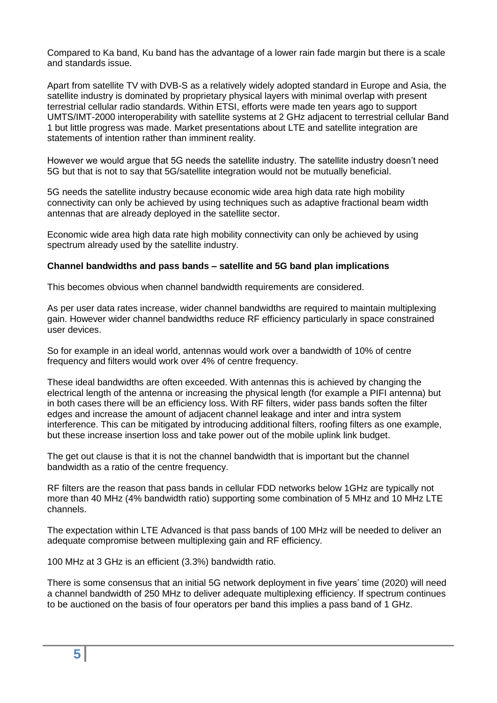Compared to Ka band, Ku band has the advantage of a lower rain fade margin but there is a scale and standards issue.

Apart from satellite TV with DVB-S as a relatively widely adopted standard in Europe and Asia, the satellite industry is dominated by proprietary physical layers with minimal overlap with present terrestrial cellular radio standards. Within ETSI, efforts were made ten years ago to support UMTS/IMT-2000 interoperability with satellite systems at 2 GHz adjacent to terrestrial cellular Band 1 but little progress was made. Market presentations about LTE and satellite integration are statements of intention rather than imminent reality.

However we would argue that 5G needs the satellite industry. The satellite industry doesn't need 5G but that is not to say that 5G/satellite integration would not be mutually beneficial.

5G needs the satellite industry because economic wide area high data rate high mobility connectivity can only be achieved by using techniques such as adaptive fractional beam width antennas that are already deployed in the satellite sector.

Economic wide area high data rate high mobility connectivity can only be achieved by using spectrum already used by the satellite industry.

#### **Channel bandwidths and pass bands – satellite and 5G band plan implications**

This becomes obvious when channel bandwidth requirements are considered.

As per user data rates increase, wider channel bandwidths are required to maintain multiplexing gain. However wider channel bandwidths reduce RF efficiency particularly in space constrained user devices.

So for example in an ideal world, antennas would work over a bandwidth of 10% of centre frequency and filters would work over 4% of centre frequency.

These ideal bandwidths are often exceeded. With antennas this is achieved by changing the electrical length of the antenna or increasing the physical length (for example a PIFI antenna) but in both cases there will be an efficiency loss. With RF filters, wider pass bands soften the filter edges and increase the amount of adjacent channel leakage and inter and intra system interference. This can be mitigated by introducing additional filters, roofing filters as one example, but these increase insertion loss and take power out of the mobile uplink link budget.

The get out clause is that it is not the channel bandwidth that is important but the channel bandwidth as a ratio of the centre frequency.

RF filters are the reason that pass bands in cellular FDD networks below 1GHz are typically not more than 40 MHz (4% bandwidth ratio) supporting some combination of 5 MHz and 10 MHz LTE channels.

The expectation within LTE Advanced is that pass bands of 100 MHz will be needed to deliver an adequate compromise between multiplexing gain and RF efficiency.

100 MHz at 3 GHz is an efficient (3.3%) bandwidth ratio.

There is some consensus that an initial 5G network deployment in five years' time (2020) will need a channel bandwidth of 250 MHz to deliver adequate multiplexing efficiency. If spectrum continues to be auctioned on the basis of four operators per band this implies a pass band of 1 GHz.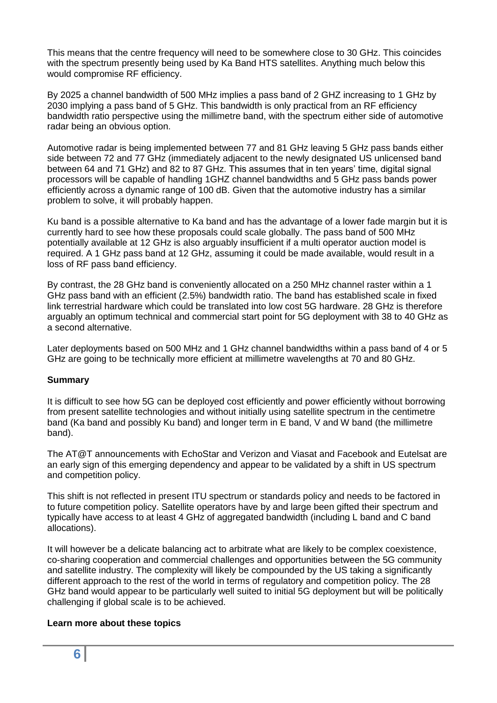This means that the centre frequency will need to be somewhere close to 30 GHz. This coincides with the spectrum presently being used by Ka Band HTS satellites. Anything much below this would compromise RF efficiency.

By 2025 a channel bandwidth of 500 MHz implies a pass band of 2 GHZ increasing to 1 GHz by 2030 implying a pass band of 5 GHz. This bandwidth is only practical from an RF efficiency bandwidth ratio perspective using the millimetre band, with the spectrum either side of automotive radar being an obvious option.

Automotive radar is being implemented between 77 and 81 GHz leaving 5 GHz pass bands either side between 72 and 77 GHz (immediately adjacent to the newly designated US unlicensed band between 64 and 71 GHz) and 82 to 87 GHz. This assumes that in ten years' time, digital signal processors will be capable of handling 1GHZ channel bandwidths and 5 GHz pass bands power efficiently across a dynamic range of 100 dB. Given that the automotive industry has a similar problem to solve, it will probably happen.

Ku band is a possible alternative to Ka band and has the advantage of a lower fade margin but it is currently hard to see how these proposals could scale globally. The pass band of 500 MHz potentially available at 12 GHz is also arguably insufficient if a multi operator auction model is required. A 1 GHz pass band at 12 GHz, assuming it could be made available, would result in a loss of RF pass band efficiency.

By contrast, the 28 GHz band is conveniently allocated on a 250 MHz channel raster within a 1 GHz pass band with an efficient (2.5%) bandwidth ratio. The band has established scale in fixed link terrestrial hardware which could be translated into low cost 5G hardware. 28 GHz is therefore arguably an optimum technical and commercial start point for 5G deployment with 38 to 40 GHz as a second alternative.

Later deployments based on 500 MHz and 1 GHz channel bandwidths within a pass band of 4 or 5 GHz are going to be technically more efficient at millimetre wavelengths at 70 and 80 GHz.

#### **Summary**

It is difficult to see how 5G can be deployed cost efficiently and power efficiently without borrowing from present satellite technologies and without initially using satellite spectrum in the centimetre band (Ka band and possibly Ku band) and longer term in E band, V and W band (the millimetre band).

The AT@T announcements with EchoStar and Verizon and Viasat and Facebook and Eutelsat are an early sign of this emerging dependency and appear to be validated by a shift in US spectrum and competition policy.

This shift is not reflected in present ITU spectrum or standards policy and needs to be factored in to future competition policy. Satellite operators have by and large been gifted their spectrum and typically have access to at least 4 GHz of aggregated bandwidth (including L band and C band allocations).

It will however be a delicate balancing act to arbitrate what are likely to be complex coexistence, co-sharing cooperation and commercial challenges and opportunities between the 5G community and satellite industry. The complexity will likely be compounded by the US taking a significantly different approach to the rest of the world in terms of regulatory and competition policy. The 28 GHz band would appear to be particularly well suited to initial 5G deployment but will be politically challenging if global scale is to be achieved.

#### **Learn more about these topics**